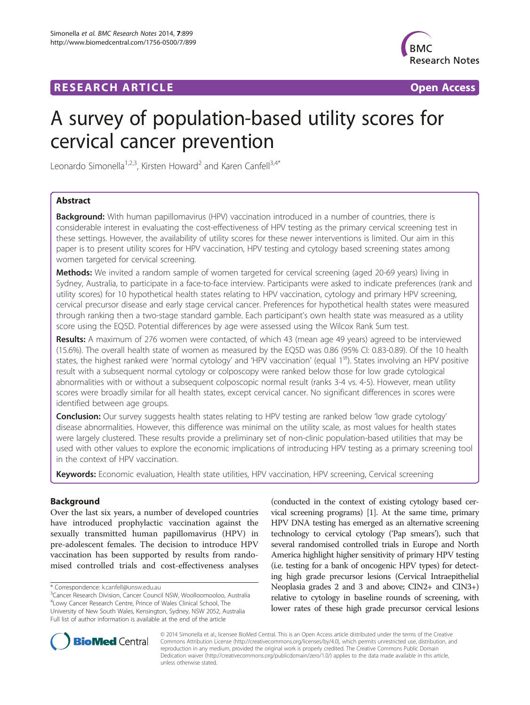# **RESEARCH ARTICLE Example 2018 12:00 THE Open Access**



# A survey of population-based utility scores for cervical cancer prevention

Leonardo Simonella<sup>1,2,3</sup>, Kirsten Howard<sup>2</sup> and Karen Canfell<sup>3,4\*</sup>

# Abstract

**Background:** With human papillomavirus (HPV) vaccination introduced in a number of countries, there is considerable interest in evaluating the cost-effectiveness of HPV testing as the primary cervical screening test in these settings. However, the availability of utility scores for these newer interventions is limited. Our aim in this paper is to present utility scores for HPV vaccination, HPV testing and cytology based screening states among women targeted for cervical screening.

Methods: We invited a random sample of women targeted for cervical screening (aged 20-69 years) living in Sydney, Australia, to participate in a face-to-face interview. Participants were asked to indicate preferences (rank and utility scores) for 10 hypothetical health states relating to HPV vaccination, cytology and primary HPV screening, cervical precursor disease and early stage cervical cancer. Preferences for hypothetical health states were measured through ranking then a two-stage standard gamble. Each participant's own health state was measured as a utility score using the EQ5D. Potential differences by age were assessed using the Wilcox Rank Sum test.

Results: A maximum of 276 women were contacted, of which 43 (mean age 49 years) agreed to be interviewed (15.6%). The overall health state of women as measured by the EQ5D was 0.86 (95% CI: 0.83-0.89). Of the 10 health states, the highest ranked were 'normal cytology' and 'HPV vaccination' (equal 1<sup>st</sup>). States involving an HPV positive result with a subsequent normal cytology or colposcopy were ranked below those for low grade cytological abnormalities with or without a subsequent colposcopic normal result (ranks 3-4 vs. 4-5). However, mean utility scores were broadly similar for all health states, except cervical cancer. No significant differences in scores were identified between age groups.

**Conclusion:** Our survey suggests health states relating to HPV testing are ranked below 'low grade cytology' disease abnormalities. However, this difference was minimal on the utility scale, as most values for health states were largely clustered. These results provide a preliminary set of non-clinic population-based utilities that may be used with other values to explore the economic implications of introducing HPV testing as a primary screening tool in the context of HPV vaccination.

Keywords: Economic evaluation, Health state utilities, HPV vaccination, HPV screening, Cervical screening

# Background

Over the last six years, a number of developed countries have introduced prophylactic vaccination against the sexually transmitted human papillomavirus (HPV) in pre-adolescent females. The decision to introduce HPV vaccination has been supported by results from randomised controlled trials and cost-effectiveness analyses

\* Correspondence: [k.canfell@unsw.edu.au](mailto:k.canfell@unsw.edu.au) <sup>3</sup>

(conducted in the context of existing cytology based cervical screening programs) [\[1\]](#page-9-0). At the same time, primary HPV DNA testing has emerged as an alternative screening technology to cervical cytology ('Pap smears'), such that several randomised controlled trials in Europe and North America highlight higher sensitivity of primary HPV testing (i.e. testing for a bank of oncogenic HPV types) for detecting high grade precursor lesions (Cervical Intraepithelial Neoplasia grades 2 and 3 and above; CIN2+ and CIN3+) relative to cytology in baseline rounds of screening, with lower rates of these high grade precursor cervical lesions



© 2014 Simonella et al.; licensee BioMed Central. This is an Open Access article distributed under the terms of the Creative Commons Attribution License [\(http://creativecommons.org/licenses/by/4.0\)](http://creativecommons.org/licenses/by/4.0), which permits unrestricted use, distribution, and reproduction in any medium, provided the original work is properly credited. The Creative Commons Public Domain Dedication waiver [\(http://creativecommons.org/publicdomain/zero/1.0/](http://creativecommons.org/publicdomain/zero/1.0/)) applies to the data made available in this article, unless otherwise stated.

Cancer Research Division, Cancer Council NSW, Woolloomooloo, Australia 4 Lowy Cancer Research Centre, Prince of Wales Clinical School, The University of New South Wales, Kensington, Sydney, NSW 2052, Australia Full list of author information is available at the end of the article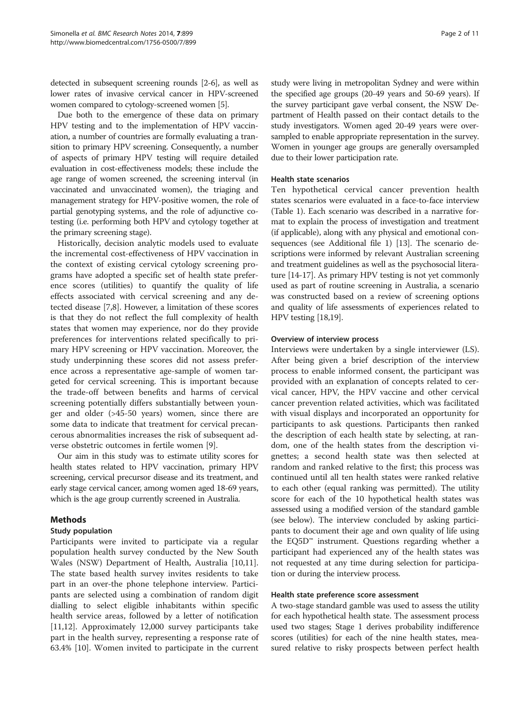detected in subsequent screening rounds [\[2-6\]](#page-9-0), as well as lower rates of invasive cervical cancer in HPV-screened women compared to cytology-screened women [[5\]](#page-9-0).

Due both to the emergence of these data on primary HPV testing and to the implementation of HPV vaccination, a number of countries are formally evaluating a transition to primary HPV screening. Consequently, a number of aspects of primary HPV testing will require detailed evaluation in cost-effectiveness models; these include the age range of women screened, the screening interval (in vaccinated and unvaccinated women), the triaging and management strategy for HPV-positive women, the role of partial genotyping systems, and the role of adjunctive cotesting (i.e. performing both HPV and cytology together at the primary screening stage).

Historically, decision analytic models used to evaluate the incremental cost-effectiveness of HPV vaccination in the context of existing cervical cytology screening programs have adopted a specific set of health state preference scores (utilities) to quantify the quality of life effects associated with cervical screening and any detected disease [\[7,8](#page-9-0)]. However, a limitation of these scores is that they do not reflect the full complexity of health states that women may experience, nor do they provide preferences for interventions related specifically to primary HPV screening or HPV vaccination. Moreover, the study underpinning these scores did not assess preference across a representative age-sample of women targeted for cervical screening. This is important because the trade-off between benefits and harms of cervical screening potentially differs substantially between younger and older (>45-50 years) women, since there are some data to indicate that treatment for cervical precancerous abnormalities increases the risk of subsequent adverse obstetric outcomes in fertile women [[9\]](#page-9-0).

Our aim in this study was to estimate utility scores for health states related to HPV vaccination, primary HPV screening, cervical precursor disease and its treatment, and early stage cervical cancer, among women aged 18-69 years, which is the age group currently screened in Australia.

# Methods

# Study population

Participants were invited to participate via a regular population health survey conducted by the New South Wales (NSW) Department of Health, Australia [\[10,11](#page-10-0)]. The state based health survey invites residents to take part in an over-the phone telephone interview. Participants are selected using a combination of random digit dialling to select eligible inhabitants within specific health service areas, followed by a letter of notification [[11,12\]](#page-10-0). Approximately 12,000 survey participants take part in the health survey, representing a response rate of 63.4% [\[10\]](#page-10-0). Women invited to participate in the current study were living in metropolitan Sydney and were within the specified age groups (20-49 years and 50-69 years). If the survey participant gave verbal consent, the NSW Department of Health passed on their contact details to the study investigators. Women aged 20-49 years were oversampled to enable appropriate representation in the survey. Women in younger age groups are generally oversampled due to their lower participation rate.

# Health state scenarios

Ten hypothetical cervical cancer prevention health states scenarios were evaluated in a face-to-face interview (Table [1\)](#page-2-0). Each scenario was described in a narrative format to explain the process of investigation and treatment (if applicable), along with any physical and emotional consequences (see Additional file [1\)](#page-9-0) [\[13\]](#page-10-0). The scenario descriptions were informed by relevant Australian screening and treatment guidelines as well as the psychosocial literature [[14](#page-10-0)-[17](#page-10-0)]. As primary HPV testing is not yet commonly used as part of routine screening in Australia, a scenario was constructed based on a review of screening options and quality of life assessments of experiences related to HPV testing [\[18,19\]](#page-10-0).

# Overview of interview process

Interviews were undertaken by a single interviewer (LS). After being given a brief description of the interview process to enable informed consent, the participant was provided with an explanation of concepts related to cervical cancer, HPV, the HPV vaccine and other cervical cancer prevention related activities, which was facilitated with visual displays and incorporated an opportunity for participants to ask questions. Participants then ranked the description of each health state by selecting, at random, one of the health states from the description vignettes; a second health state was then selected at random and ranked relative to the first; this process was continued until all ten health states were ranked relative to each other (equal ranking was permitted). The utility score for each of the 10 hypothetical health states was assessed using a modified version of the standard gamble (see below). The interview concluded by asking participants to document their age and own quality of life using the EQ5D™ instrument. Questions regarding whether a participant had experienced any of the health states was not requested at any time during selection for participation or during the interview process.

### Health state preference score assessment

A two-stage standard gamble was used to assess the utility for each hypothetical health state. The assessment process used two stages; Stage 1 derives probability indifference scores (utilities) for each of the nine health states, measured relative to risky prospects between perfect health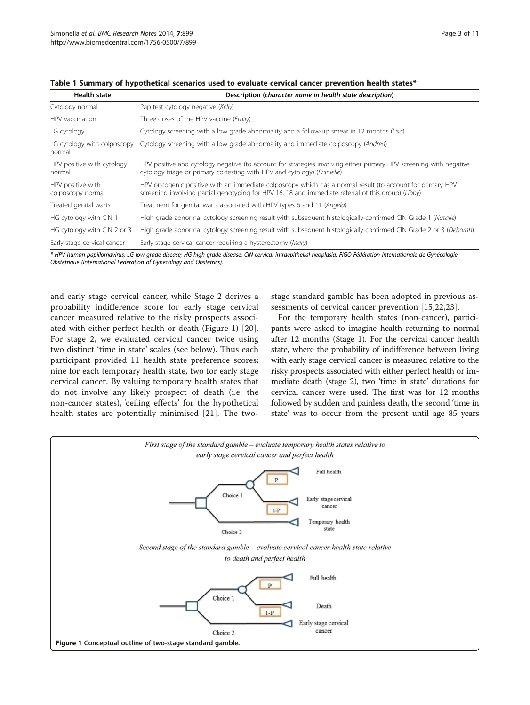| <b>Health state</b>                    | Description (character name in health state description)                                                                                                                                                         |  |  |  |  |
|----------------------------------------|------------------------------------------------------------------------------------------------------------------------------------------------------------------------------------------------------------------|--|--|--|--|
| Cytology normal                        | Pap test cytology negative (Kelly)                                                                                                                                                                               |  |  |  |  |
| HPV vaccination                        | Three doses of the HPV vaccine (Emily)                                                                                                                                                                           |  |  |  |  |
| LG cytology                            | Cytology screening with a low grade abnormality and a follow-up smear in 12 months (Lisa)                                                                                                                        |  |  |  |  |
| LG cytology with colposcopy<br>normal  | Cytology screening with a low grade abnormality and immediate colposcopy (Andrea)                                                                                                                                |  |  |  |  |
| HPV positive with cytology<br>normal   | HPV positive and cytology negative (to account for strategies involving either primary HPV screening with negative<br>cytology triage or primary co-testing with HPV and cytology) (Danielle)                    |  |  |  |  |
| HPV positive with<br>colposcopy normal | HPV oncogenic positive with an immediate colposcopy which has a normal result (to account for primary HPV<br>screening involving partial genotyping for HPV 16, 18 and immediate referral of this group) (Libby) |  |  |  |  |
| Treated genital warts                  | Treatment for genital warts associated with HPV types 6 and 11 (Angela)                                                                                                                                          |  |  |  |  |
| HG cytology with CIN 1                 | High grade abnormal cytology screening result with subsequent histologically-confirmed CIN Grade 1 (Natalie)                                                                                                     |  |  |  |  |
| HG cytology with CIN 2 or 3            | High grade abnormal cytology screening result with subsequent histologically-confirmed CIN Grade 2 or 3 (Deborah)                                                                                                |  |  |  |  |
| Early stage cervical cancer            | Early stage cervical cancer requiring a hysterectomy (Mary)                                                                                                                                                      |  |  |  |  |

<span id="page-2-0"></span>Table 1 Summary of hypothetical scenarios used to evaluate cervical cancer prevention health states\*

\* HPV human papillomavirus; LG low grade disease; HG high grade disease; CIN cervical intraepithelial neoplasia; FIGO Fédération Internationale de Gynécologie Obstétrique (International Federation of Gynecology and Obstetrics).

and early stage cervical cancer, while Stage 2 derives a probability indifference score for early stage cervical cancer measured relative to the risky prospects associated with either perfect health or death (Figure 1) [[20](#page-10-0)]. For stage 2, we evaluated cervical cancer twice using two distinct 'time in state' scales (see below). Thus each participant provided 11 health state preference scores; nine for each temporary health state, two for early stage cervical cancer. By valuing temporary health states that do not involve any likely prospect of death (i.e. the non-cancer states), 'ceiling effects' for the hypothetical health states are potentially minimised [[21\]](#page-10-0). The two-

stage standard gamble has been adopted in previous assessments of cervical cancer prevention [\[15](#page-10-0),[22,23\]](#page-10-0).

For the temporary health states (non-cancer), participants were asked to imagine health returning to normal after 12 months (Stage 1). For the cervical cancer health state, where the probability of indifference between living with early stage cervical cancer is measured relative to the risky prospects associated with either perfect health or immediate death (stage 2), two 'time in state' durations for cervical cancer were used. The first was for 12 months followed by sudden and painless death, the second 'time in state' was to occur from the present until age 85 years

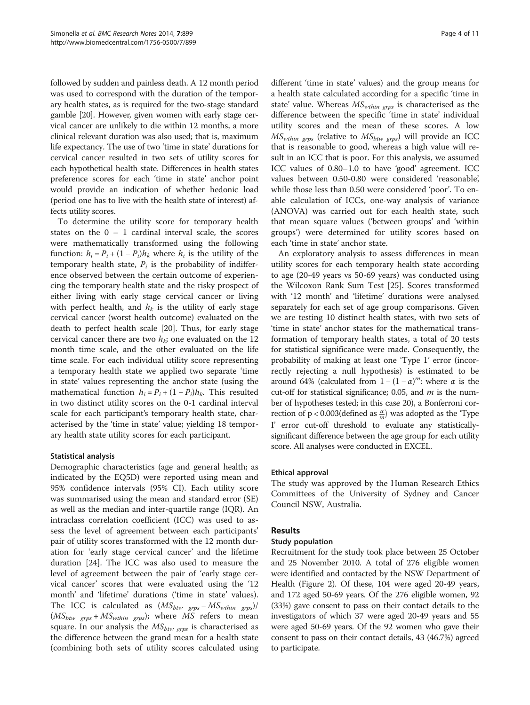followed by sudden and painless death. A 12 month period was used to correspond with the duration of the temporary health states, as is required for the two-stage standard gamble [\[20\]](#page-10-0). However, given women with early stage cervical cancer are unlikely to die within 12 months, a more clinical relevant duration was also used; that is, maximum life expectancy. The use of two 'time in state' durations for cervical cancer resulted in two sets of utility scores for each hypothetical health state. Differences in health states preference scores for each 'time in state' anchor point would provide an indication of whether hedonic load (period one has to live with the health state of interest) affects utility scores.

To determine the utility score for temporary health states on the  $0 - 1$  cardinal interval scale, the scores were mathematically transformed using the following function:  $h_i = P_i + (1 - P_i)h_k$  where  $h_i$  is the utility of the temporary health state,  $P_i$  is the probability of indifference observed between the certain outcome of experiencing the temporary health state and the risky prospect of either living with early stage cervical cancer or living with perfect health, and  $h_k$  is the utility of early stage cervical cancer (worst health outcome) evaluated on the death to perfect health scale [\[20\]](#page-10-0). Thus, for early stage cervical cancer there are two  $h_k$ ; one evaluated on the 12 month time scale, and the other evaluated on the life time scale. For each individual utility score representing a temporary health state we applied two separate 'time in state' values representing the anchor state (using the mathematical function  $h_i = P_i + (1 - P_i)h_k$ . This resulted in two distinct utility scores on the 0-1 cardinal interval scale for each participant's temporary health state, characterised by the 'time in state' value; yielding 18 temporary health state utility scores for each participant.

# Statistical analysis

Demographic characteristics (age and general health; as indicated by the EQ5D) were reported using mean and 95% confidence intervals (95% CI). Each utility score was summarised using the mean and standard error (SE) as well as the median and inter-quartile range (IQR). An intraclass correlation coefficient (ICC) was used to assess the level of agreement between each participants' pair of utility scores transformed with the 12 month duration for 'early stage cervical cancer' and the lifetime duration [\[24](#page-10-0)]. The ICC was also used to measure the level of agreement between the pair of 'early stage cervical cancer' scores that were evaluated using the '12 month' and 'lifetime' durations ('time in state' values). The ICC is calculated as  $(MS_{btw}$ <sub>grps</sub> − MS<sub>wthin grps</sub>)/  $(MS_{btw\ gpps} + MS_{within\ grms})$ ; where MS refers to mean square. In our analysis the  $MS_{btw\text{ grps}}$  is characterised as the difference between the grand mean for a health state (combining both sets of utility scores calculated using

different 'time in state' values) and the group means for a health state calculated according for a specific 'time in state' value. Whereas  $MS<sub>within</sub>$  grps is characterised as the difference between the specific 'time in state' individual utility scores and the mean of these scores. A low  $MS_{within\text{ graphs}}$  (relative to  $MS_{btw\text{ graphs}}$ ) will provide an ICC that is reasonable to good, whereas a high value will result in an ICC that is poor. For this analysis, we assumed ICC values of 0.80–1.0 to have 'good' agreement. ICC values between 0.50-0.80 were considered 'reasonable', while those less than 0.50 were considered 'poor'. To enable calculation of ICCs, one-way analysis of variance (ANOVA) was carried out for each health state, such that mean square values ('between groups' and 'within groups') were determined for utility scores based on each 'time in state' anchor state.

An exploratory analysis to assess differences in mean utility scores for each temporary health state according to age (20-49 years vs 50-69 years) was conducted using the Wilcoxon Rank Sum Test [[25\]](#page-10-0). Scores transformed with '12 month' and 'lifetime' durations were analysed separately for each set of age group comparisons. Given we are testing 10 distinct health states, with two sets of 'time in state' anchor states for the mathematical transformation of temporary health states, a total of 20 tests for statistical significance were made. Consequently, the probability of making at least one 'Type 1' error (incorrectly rejecting a null hypothesis) is estimated to be around 64% (calculated from  $1 - (1 - \alpha)^m$ : where  $\alpha$  is the cut-off for statistical significance; 0.05, and  $m$  is the number of hypotheses tested; in this case 20), a Bonferroni correction of p < 0.003(defined as  $\frac{\alpha}{m}$ ) was adopted as the 'Type  $V$ ' error, cut off, threshold, to evoluate any statistically I' error cut-off threshold to evaluate any statisticallysignificant difference between the age group for each utility score. All analyses were conducted in EXCEL.

# Ethical approval

The study was approved by the Human Research Ethics Committees of the University of Sydney and Cancer Council NSW, Australia.

# Results

#### Study population

Recruitment for the study took place between 25 October and 25 November 2010. A total of 276 eligible women were identified and contacted by the NSW Department of Health (Figure [2](#page-4-0)). Of these, 104 were aged 20-49 years, and 172 aged 50-69 years. Of the 276 eligible women, 92 (33%) gave consent to pass on their contact details to the investigators of which 37 were aged 20-49 years and 55 were aged 50-69 years. Of the 92 women who gave their consent to pass on their contact details, 43 (46.7%) agreed to participate.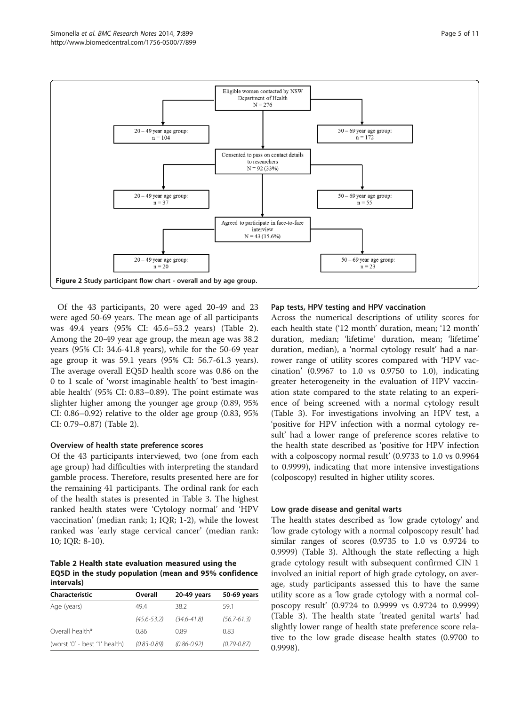<span id="page-4-0"></span>

Of the 43 participants, 20 were aged 20-49 and 23 were aged 50-69 years. The mean age of all participants was 49.4 years (95% CI: 45.6–53.2 years) (Table 2). Among the 20-49 year age group, the mean age was 38.2 years (95% CI: 34.6-41.8 years), while for the 50-69 year age group it was 59.1 years (95% CI: 56.7-61.3 years). The average overall EQ5D health score was 0.86 on the 0 to 1 scale of 'worst imaginable health' to 'best imaginable health' (95% CI: 0.83–0.89). The point estimate was slighter higher among the younger age group (0.89, 95% CI: 0.86–0.92) relative to the older age group (0.83, 95% CI: 0.79–0.87) (Table 2).

#### Overview of health state preference scores

Of the 43 participants interviewed, two (one from each age group) had difficulties with interpreting the standard gamble process. Therefore, results presented here are for the remaining 41 participants. The ordinal rank for each of the health states is presented in Table [3.](#page-5-0) The highest ranked health states were 'Cytology normal' and 'HPV vaccination' (median rank; 1; IQR; 1-2), while the lowest ranked was 'early stage cervical cancer' (median rank: 10; IQR: 8-10).

Table 2 Health state evaluation measured using the EQ5D in the study population (mean and 95% confidence intervals)

| Characteristic                | Overall         | 20-49 years     | 50-69 years     |
|-------------------------------|-----------------|-----------------|-----------------|
| Age (years)                   | 49.4            | 38.2            | 59.1            |
|                               | $(45.6 - 53.2)$ | $(34.6 - 41.8)$ | $(56.7 - 61.3)$ |
| Overall health*               | 0.86            | 0.89            | 0.83            |
| (worst '0' - best '1' health) | $(0.83 - 0.89)$ | $(0.86 - 0.92)$ | $(0.79 - 0.87)$ |

# Pap tests, HPV testing and HPV vaccination

Across the numerical descriptions of utility scores for each health state ('12 month' duration, mean; '12 month' duration, median; 'lifetime' duration, mean; 'lifetime' duration, median), a 'normal cytology result' had a narrower range of utility scores compared with 'HPV vaccination' (0.9967 to 1.0 vs 0.9750 to 1.0), indicating greater heterogeneity in the evaluation of HPV vaccination state compared to the state relating to an experience of being screened with a normal cytology result (Table [3](#page-5-0)). For investigations involving an HPV test, a 'positive for HPV infection with a normal cytology result' had a lower range of preference scores relative to the health state described as 'positive for HPV infection with a colposcopy normal result' (0.9733 to 1.0 vs 0.9964 to 0.9999), indicating that more intensive investigations (colposcopy) resulted in higher utility scores.

#### Low grade disease and genital warts

The health states described as 'low grade cytology' and 'low grade cytology with a normal colposcopy result' had similar ranges of scores (0.9735 to 1.0 vs 0.9724 to 0.9999) (Table [3](#page-5-0)). Although the state reflecting a high grade cytology result with subsequent confirmed CIN 1 involved an initial report of high grade cytology, on average, study participants assessed this to have the same utility score as a 'low grade cytology with a normal colposcopy result' (0.9724 to 0.9999 vs 0.9724 to 0.9999) (Table [3](#page-5-0)). The health state 'treated genital warts' had slightly lower range of health state preference score relative to the low grade disease health states (0.9700 to 0.9998).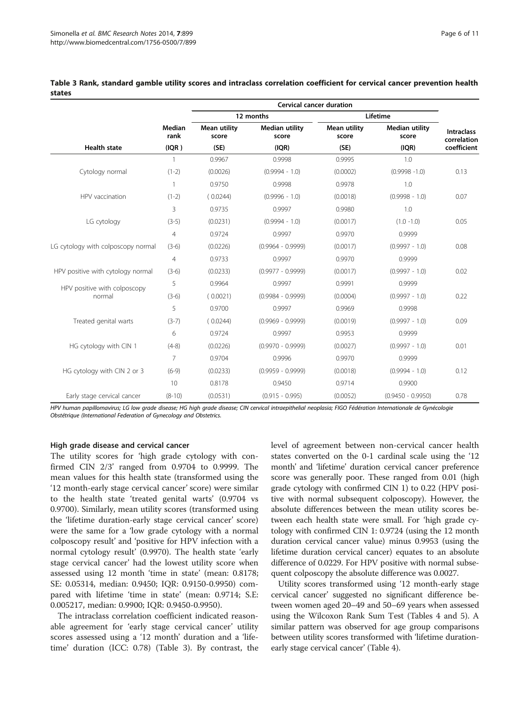|                                    |                                | <b>Cervical cancer duration</b> |                                |                       |                                |                                  |
|------------------------------------|--------------------------------|---------------------------------|--------------------------------|-----------------------|--------------------------------|----------------------------------|
|                                    |                                |                                 | 12 months                      |                       | Lifetime                       |                                  |
| <b>Health state</b>                | <b>Median</b><br>rank<br>(IQR) | Mean utility<br>score           | <b>Median utility</b><br>score | Mean utility<br>score | <b>Median utility</b><br>score | <b>Intraclass</b><br>correlation |
|                                    |                                | (SE)                            | (IQR)                          | (SE)                  | (IQR)                          | coefficient                      |
|                                    | $\mathbf{1}$                   | 0.9967                          | 0.9998                         | 0.9995                | 1.0                            |                                  |
| Cytology normal                    | $(1-2)$                        | (0.0026)                        | $(0.9994 - 1.0)$               | (0.0002)              | $(0.9998 - 1.0)$               | 0.13                             |
|                                    | $\mathbf{1}$                   | 0.9750                          | 0.9998                         | 0.9978                | 1.0                            |                                  |
| HPV vaccination                    | $(1-2)$                        | (0.0244)                        | $(0.9996 - 1.0)$               | (0.0018)              | $(0.9998 - 1.0)$               | 0.07                             |
|                                    | 3                              | 0.9735                          | 0.9997                         | 0.9980                | 1.0                            |                                  |
| LG cytology                        | $(3-5)$                        | (0.0231)                        | $(0.9994 - 1.0)$               | (0.0017)              | $(1.0 - 1.0)$                  | 0.05                             |
|                                    | $\overline{4}$                 | 0.9724                          | 0.9997                         | 0.9970                | 0.9999                         |                                  |
| LG cytology with colposcopy normal | $(3-6)$                        | (0.0226)                        | $(0.9964 - 0.9999)$            | (0.0017)              | $(0.9997 - 1.0)$               | 0.08                             |
|                                    | $\overline{4}$                 | 0.9733                          | 0.9997                         | 0.9970                | 0.9999                         |                                  |
| HPV positive with cytology normal  | $(3-6)$                        | (0.0233)                        | $(0.9977 - 0.9999)$            | (0.0017)              | $(0.9997 - 1.0)$               | 0.02                             |
| HPV positive with colposcopy       | 5                              | 0.9964                          | 0.9997                         | 0.9991                | 0.9999                         |                                  |
| normal                             | $(3-6)$                        | (0.0021)                        | $(0.9984 - 0.9999)$            | (0.0004)              | $(0.9997 - 1.0)$               | 0.22                             |
|                                    | 5                              | 0.9700                          | 0.9997                         | 0.9969                | 0.9998                         |                                  |
| Treated genital warts              | $(3-7)$                        | (0.0244)                        | $(0.9969 - 0.9999)$            | (0.0019)              | $(0.9997 - 1.0)$               | 0.09                             |
|                                    | 6                              | 0.9724                          | 0.9997                         | 0.9953                | 0.9999                         |                                  |
| HG cytology with CIN 1             | $(4-8)$                        | (0.0226)                        | $(0.9970 - 0.9999)$            | (0.0027)              | $(0.9997 - 1.0)$               | 0.01                             |
|                                    | $\overline{7}$                 | 0.9704                          | 0.9996                         | 0.9970                | 0.9999                         |                                  |
| HG cytology with CIN 2 or 3        | $(6-9)$                        | (0.0233)                        | $(0.9959 - 0.9999)$            | (0.0018)              | $(0.9994 - 1.0)$               | 0.12                             |
|                                    | 10                             | 0.8178                          | 0.9450                         | 0.9714                | 0.9900                         |                                  |
| Early stage cervical cancer        | $(8-10)$                       | (0.0531)                        | $(0.915 - 0.995)$              | (0.0052)              | $(0.9450 - 0.9950)$            | 0.78                             |

#### <span id="page-5-0"></span>Table 3 Rank, standard gamble utility scores and intraclass correlation coefficient for cervical cancer prevention health states

HPV human papillomavirus; LG low grade disease; HG high grade disease; CIN cervical intraepithelial neoplasia; FIGO Fédération Internationale de Gynécologie Obstétrique (International Federation of Gynecology and Obstetrics.

#### High grade disease and cervical cancer

The utility scores for 'high grade cytology with confirmed CIN 2/3' ranged from 0.9704 to 0.9999. The mean values for this health state (transformed using the '12 month-early stage cervical cancer' score) were similar to the health state 'treated genital warts' (0.9704 vs 0.9700). Similarly, mean utility scores (transformed using the 'lifetime duration-early stage cervical cancer' score) were the same for a 'low grade cytology with a normal colposcopy result' and 'positive for HPV infection with a normal cytology result' (0.9970). The health state 'early stage cervical cancer' had the lowest utility score when assessed using 12 month 'time in state' (mean: 0.8178; SE: 0.05314, median: 0.9450; IQR: 0.9150-0.9950) compared with lifetime 'time in state' (mean: 0.9714; S.E: 0.005217, median: 0.9900; IQR: 0.9450-0.9950).

The intraclass correlation coefficient indicated reasonable agreement for 'early stage cervical cancer' utility scores assessed using a '12 month' duration and a 'lifetime' duration (ICC: 0.78) (Table 3). By contrast, the level of agreement between non-cervical cancer health states converted on the 0-1 cardinal scale using the '12 month' and 'lifetime' duration cervical cancer preference score was generally poor. These ranged from 0.01 (high grade cytology with confirmed CIN 1) to 0.22 (HPV positive with normal subsequent colposcopy). However, the absolute differences between the mean utility scores between each health state were small. For 'high grade cytology with confirmed CIN 1: 0.9724 (using the 12 month duration cervical cancer value) minus 0.9953 (using the lifetime duration cervical cancer) equates to an absolute difference of 0.0229. For HPV positive with normal subsequent colposcopy the absolute difference was 0.0027.

Utility scores transformed using '12 month-early stage cervical cancer' suggested no significant difference between women aged 20–49 and 50–69 years when assessed using the Wilcoxon Rank Sum Test (Tables [4](#page-6-0) and [5\)](#page-7-0). A similar pattern was observed for age group comparisons between utility scores transformed with 'lifetime durationearly stage cervical cancer' (Table [4](#page-6-0)).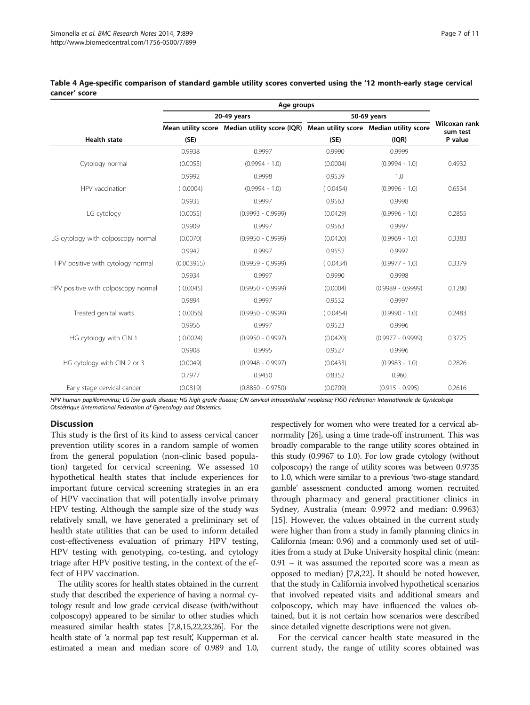|                                     | Age groups |                                                                                       |             |                     |                                      |
|-------------------------------------|------------|---------------------------------------------------------------------------------------|-------------|---------------------|--------------------------------------|
|                                     |            | 20-49 years                                                                           | 50-69 years |                     |                                      |
| <b>Health state</b>                 |            | Mean utility score Median utility score (IQR) Mean utility score Median utility score | (SE)        | (IQR)               | Wilcoxan rank<br>sum test<br>P value |
|                                     | (SE)       |                                                                                       |             |                     |                                      |
|                                     | 0.9938     | 0.9997                                                                                | 0.9990      | 0.9999              |                                      |
| Cytology normal                     | (0.0055)   | $(0.9994 - 1.0)$                                                                      | (0.0004)    | $(0.9994 - 1.0)$    | 0.4932                               |
|                                     | 0.9992     | 0.9998                                                                                | 0.9539      | 1.0                 |                                      |
| HPV vaccination                     | (0.0004)   | $(0.9994 - 1.0)$                                                                      | (0.0454)    | $(0.9996 - 1.0)$    | 0.6534                               |
|                                     | 0.9935     | 0.9997                                                                                | 0.9563      | 0.9998              |                                      |
| LG cytology                         | (0.0055)   | $(0.9993 - 0.9999)$                                                                   | (0.0429)    | $(0.9996 - 1.0)$    | 0.2855                               |
|                                     | 0.9909     | 0.9997                                                                                | 0.9563      | 0.9997              |                                      |
| LG cytology with colposcopy normal  | (0.0070)   | $(0.9950 - 0.9999)$                                                                   | (0.0420)    | $(0.9969 - 1.0)$    | 0.3383                               |
|                                     | 0.9942     | 0.9997                                                                                | 0.9552      | 0.9997              |                                      |
| HPV positive with cytology normal   | (0.003955) | $(0.9959 - 0.9999)$                                                                   | (0.0434)    | $(0.9977 - 1.0)$    | 0.3379                               |
|                                     | 0.9934     | 0.9997                                                                                | 0.9990      | 0.9998              |                                      |
| HPV positive with colposcopy normal | (0.0045)   | $(0.9950 - 0.9999)$                                                                   | (0.0004)    | $(0.9989 - 0.9999)$ | 0.1280                               |
|                                     | 0.9894     | 0.9997                                                                                | 0.9532      | 0.9997              |                                      |
| Treated genital warts               | (0.0056)   | $(0.9950 - 0.9999)$                                                                   | (0.0454)    | $(0.9990 - 1.0)$    | 0.2483                               |
|                                     | 0.9956     | 0.9997                                                                                | 0.9523      | 0.9996              |                                      |
| HG cytology with CIN 1              | (0.0024)   | $(0.9950 - 0.9997)$                                                                   | (0.0420)    | $(0.9977 - 0.9999)$ | 0.3725                               |
|                                     | 0.9908     | 0.9995                                                                                | 0.9527      | 0.9996              |                                      |
| HG cytology with CIN 2 or 3         | (0.0049)   | $(0.9948 - 0.9997)$                                                                   | (0.0433)    | $(0.9983 - 1.0)$    | 0.2826                               |
|                                     | 0.7977     | 0.9450                                                                                | 0.8352      | 0.960               |                                      |
| Early stage cervical cancer         | (0.0819)   | $(0.8850 - 0.9750)$                                                                   | (0.0709)    | $(0.915 - 0.995)$   | 0.2616                               |

#### <span id="page-6-0"></span>Table 4 Age-specific comparison of standard gamble utility scores converted using the '12 month-early stage cervical cancer' score

HPV human papillomavirus; LG low grade disease; HG high grade disease; CIN cervical intraepithelial neoplasia; FIGO Fédération Internationale de Gynécologie Obstétrique (International Federation of Gynecology and Obstetrics.

### **Discussion**

This study is the first of its kind to assess cervical cancer prevention utility scores in a random sample of women from the general population (non-clinic based population) targeted for cervical screening. We assessed 10 hypothetical health states that include experiences for important future cervical screening strategies in an era of HPV vaccination that will potentially involve primary HPV testing. Although the sample size of the study was relatively small, we have generated a preliminary set of health state utilities that can be used to inform detailed cost-effectiveness evaluation of primary HPV testing, HPV testing with genotyping, co-testing, and cytology triage after HPV positive testing, in the context of the effect of HPV vaccination.

The utility scores for health states obtained in the current study that described the experience of having a normal cytology result and low grade cervical disease (with/without colposcopy) appeared to be similar to other studies which measured similar health states [[7,8](#page-9-0)[,15,22,23,26\]](#page-10-0). For the health state of 'a normal pap test result', Kupperman et al. estimated a mean and median score of 0.989 and 1.0,

respectively for women who were treated for a cervical abnormality [[26](#page-10-0)], using a time trade-off instrument. This was broadly comparable to the range utility scores obtained in this study (0.9967 to 1.0). For low grade cytology (without colposcopy) the range of utility scores was between 0.9735 to 1.0, which were similar to a previous 'two-stage standard gamble' assessment conducted among women recruited through pharmacy and general practitioner clinics in Sydney, Australia (mean: 0.9972 and median: 0.9963) [[15\]](#page-10-0). However, the values obtained in the current study were higher than from a study in family planning clinics in California (mean: 0.96) and a commonly used set of utilities from a study at Duke University hospital clinic (mean: 0.91 – it was assumed the reported score was a mean as opposed to median) [\[7,8](#page-9-0)[,22\]](#page-10-0). It should be noted however, that the study in California involved hypothetical scenarios that involved repeated visits and additional smears and colposcopy, which may have influenced the values obtained, but it is not certain how scenarios were described since detailed vignette descriptions were not given.

For the cervical cancer health state measured in the current study, the range of utility scores obtained was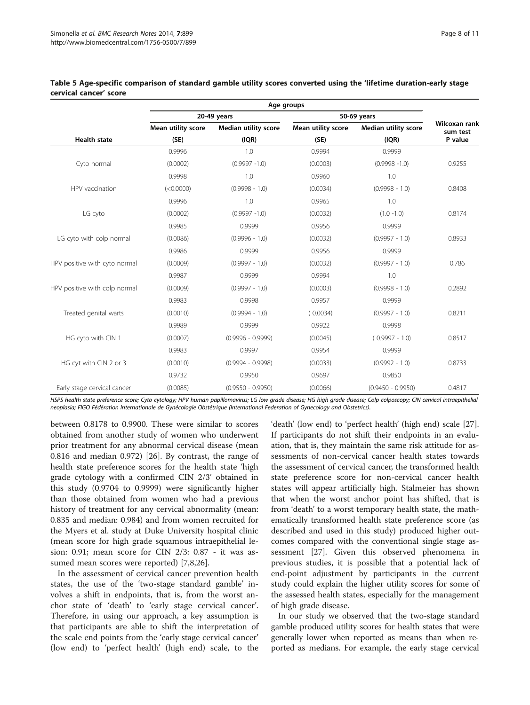|                               | Age groups         |                      |                    |                             |                                  |
|-------------------------------|--------------------|----------------------|--------------------|-----------------------------|----------------------------------|
|                               | 20-49 years        |                      | 50-69 years        |                             |                                  |
|                               | Mean utility score | Median utility score | Mean utility score | <b>Median utility score</b> | <b>Wilcoxan rank</b><br>sum test |
| <b>Health state</b>           | (SE)               | (IQR)                | (SE)               | (IQR)                       | P value                          |
|                               | 0.9996             | 1.0                  | 0.9994             | 0.9999                      |                                  |
| Cyto normal                   | (0.0002)           | $(0.9997 - 1.0)$     | (0.0003)           | $(0.9998 - 1.0)$            | 0.9255                           |
|                               | 0.9998             | 1.0                  | 0.9960             | 1.0                         |                                  |
| HPV vaccination               | (<0.0000)          | $(0.9998 - 1.0)$     | (0.0034)           | $(0.9998 - 1.0)$            | 0.8408                           |
|                               | 0.9996             | 1.0                  | 0.9965             | 1.0                         |                                  |
| LG cyto                       | (0.0002)           | $(0.9997 - 1.0)$     | (0.0032)           | $(1.0 - 1.0)$               | 0.8174                           |
|                               | 0.9985             | 0.9999               | 0.9956             | 0.9999                      |                                  |
| LG cyto with colp normal      | (0.0086)           | $(0.9996 - 1.0)$     | (0.0032)           | $(0.9997 - 1.0)$            | 0.8933                           |
|                               | 0.9986             | 0.9999               | 0.9956             | 0.9999                      |                                  |
| HPV positive with cyto normal | (0.0009)           | $(0.9997 - 1.0)$     | (0.0032)           | $(0.9997 - 1.0)$            | 0.786                            |
|                               | 0.9987             | 0.9999               | 0.9994             | 1.0                         |                                  |
| HPV positive with colp normal | (0.0009)           | $(0.9997 - 1.0)$     | (0.0003)           | $(0.9998 - 1.0)$            | 0.2892                           |
|                               | 0.9983             | 0.9998               | 0.9957             | 0.9999                      |                                  |
| Treated genital warts         | (0.0010)           | $(0.9994 - 1.0)$     | (0.0034)           | $(0.9997 - 1.0)$            | 0.8211                           |
|                               | 0.9989             | 0.9999               | 0.9922             | 0.9998                      |                                  |
| HG cyto with CIN 1            | (0.0007)           | $(0.9996 - 0.9999)$  | (0.0045)           | $(0.9997 - 1.0)$            | 0.8517                           |
|                               | 0.9983             | 0.9997               | 0.9954             | 0.9999                      |                                  |
| HG cyt with CIN 2 or 3        | (0.0010)           | $(0.9994 - 0.9998)$  | (0.0033)           | $(0.9992 - 1.0)$            | 0.8733                           |
|                               | 0.9732             | 0.9950               | 0.9697             | 0.9850                      |                                  |
| Early stage cervical cancer   | (0.0085)           | $(0.9550 - 0.9950)$  | (0.0066)           | $(0.9450 - 0.9950)$         | 0.4817                           |

#### <span id="page-7-0"></span>Table 5 Age-specific comparison of standard gamble utility scores converted using the 'lifetime duration-early stage cervical cancer' score

HSPS health state preference score; Cyto cytology; HPV human papillomavirus; LG low grade disease; HG high grade disease; Colp colposcopy; CIN cervical intraepithelial neoplasia; FIGO Fédération Internationale de Gynécologie Obstétrique (International Federation of Gynecology and Obstetrics).

between 0.8178 to 0.9900. These were similar to scores obtained from another study of women who underwent prior treatment for any abnormal cervical disease (mean 0.816 and median 0.972) [\[26\]](#page-10-0). By contrast, the range of health state preference scores for the health state 'high grade cytology with a confirmed CIN 2/3' obtained in this study (0.9704 to 0.9999) were significantly higher than those obtained from women who had a previous history of treatment for any cervical abnormality (mean: 0.835 and median: 0.984) and from women recruited for the Myers et al. study at Duke University hospital clinic (mean score for high grade squamous intraepithelial lesion: 0.91; mean score for CIN 2/3: 0.87 - it was assumed mean scores were reported) [\[7,8](#page-9-0)[,26](#page-10-0)].

In the assessment of cervical cancer prevention health states, the use of the 'two-stage standard gamble' involves a shift in endpoints, that is, from the worst anchor state of 'death' to 'early stage cervical cancer'. Therefore, in using our approach, a key assumption is that participants are able to shift the interpretation of the scale end points from the 'early stage cervical cancer' (low end) to 'perfect health' (high end) scale, to the

'death' (low end) to 'perfect health' (high end) scale [\[27](#page-10-0)]. If participants do not shift their endpoints in an evaluation, that is, they maintain the same risk attitude for assessments of non-cervical cancer health states towards the assessment of cervical cancer, the transformed health state preference score for non-cervical cancer health states will appear artificially high. Stalmeier has shown that when the worst anchor point has shifted, that is from 'death' to a worst temporary health state, the mathematically transformed health state preference score (as described and used in this study) produced higher outcomes compared with the conventional single stage assessment [[27](#page-10-0)]. Given this observed phenomena in previous studies, it is possible that a potential lack of end-point adjustment by participants in the current study could explain the higher utility scores for some of the assessed health states, especially for the management of high grade disease.

In our study we observed that the two-stage standard gamble produced utility scores for health states that were generally lower when reported as means than when reported as medians. For example, the early stage cervical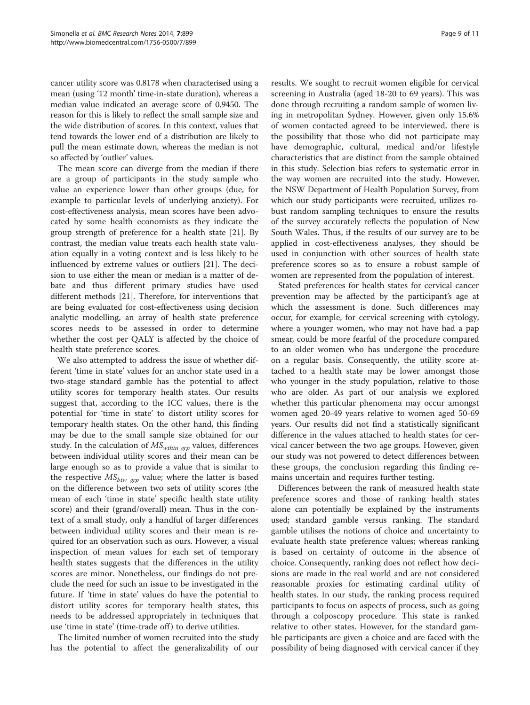cancer utility score was 0.8178 when characterised using a mean (using '12 month' time-in-state duration), whereas a median value indicated an average score of 0.9450. The reason for this is likely to reflect the small sample size and the wide distribution of scores. In this context, values that tend towards the lower end of a distribution are likely to pull the mean estimate down, whereas the median is not so affected by 'outlier' values.

The mean score can diverge from the median if there are a group of participants in the study sample who value an experience lower than other groups (due, for example to particular levels of underlying anxiety). For cost-effectiveness analysis, mean scores have been advocated by some health economists as they indicate the group strength of preference for a health state [\[21\]](#page-10-0). By contrast, the median value treats each health state valuation equally in a voting context and is less likely to be influenced by extreme values or outliers [[21](#page-10-0)]. The decision to use either the mean or median is a matter of debate and thus different primary studies have used different methods [[21\]](#page-10-0). Therefore, for interventions that are being evaluated for cost-effectiveness using decision analytic modelling, an array of health state preference scores needs to be assessed in order to determine whether the cost per QALY is affected by the choice of health state preference scores.

We also attempted to address the issue of whether different 'time in state' values for an anchor state used in a two-stage standard gamble has the potential to affect utility scores for temporary health states. Our results suggest that, according to the ICC values, there is the potential for 'time in state' to distort utility scores for temporary health states. On the other hand, this finding may be due to the small sample size obtained for our study. In the calculation of  $MS<sub>within grp</sub>$  values, differences between individual utility scores and their mean can be large enough so as to provide a value that is similar to the respective  $MS_{btw, grp}$  value; where the latter is based on the difference between two sets of utility scores (the mean of each 'time in state' specific health state utility score) and their (grand/overall) mean. Thus in the context of a small study, only a handful of larger differences between individual utility scores and their mean is required for an observation such as ours. However, a visual inspection of mean values for each set of temporary health states suggests that the differences in the utility scores are minor. Nonetheless, our findings do not preclude the need for such an issue to be investigated in the future. If 'time in state' values do have the potential to distort utility scores for temporary health states, this needs to be addressed appropriately in techniques that use 'time in state' (time-trade off ) to derive utilities.

The limited number of women recruited into the study has the potential to affect the generalizability of our

results. We sought to recruit women eligible for cervical screening in Australia (aged 18-20 to 69 years). This was done through recruiting a random sample of women living in metropolitan Sydney. However, given only 15.6% of women contacted agreed to be interviewed, there is the possibility that those who did not participate may have demographic, cultural, medical and/or lifestyle characteristics that are distinct from the sample obtained in this study. Selection bias refers to systematic error in the way women are recruited into the study. However, the NSW Department of Health Population Survey, from which our study participants were recruited, utilizes robust random sampling techniques to ensure the results of the survey accurately reflects the population of New South Wales. Thus, if the results of our survey are to be applied in cost-effectiveness analyses, they should be used in conjunction with other sources of health state preference scores so as to ensure a robust sample of women are represented from the population of interest.

Stated preferences for health states for cervical cancer prevention may be affected by the participant's age at which the assessment is done. Such differences may occur, for example, for cervical screening with cytology, where a younger women, who may not have had a pap smear, could be more fearful of the procedure compared to an older women who has undergone the procedure on a regular basis. Consequently, the utility score attached to a health state may be lower amongst those who younger in the study population, relative to those who are older. As part of our analysis we explored whether this particular phenomena may occur amongst women aged 20-49 years relative to women aged 50-69 years. Our results did not find a statistically significant difference in the values attached to health states for cervical cancer between the two age groups. However, given our study was not powered to detect differences between these groups, the conclusion regarding this finding remains uncertain and requires further testing.

Differences between the rank of measured health state preference scores and those of ranking health states alone can potentially be explained by the instruments used; standard gamble versus ranking. The standard gamble utilises the notions of choice and uncertainty to evaluate health state preference values; whereas ranking is based on certainty of outcome in the absence of choice. Consequently, ranking does not reflect how decisions are made in the real world and are not considered reasonable proxies for estimating cardinal utility of health states. In our study, the ranking process required participants to focus on aspects of process, such as going through a colposcopy procedure. This state is ranked relative to other states. However, for the standard gamble participants are given a choice and are faced with the possibility of being diagnosed with cervical cancer if they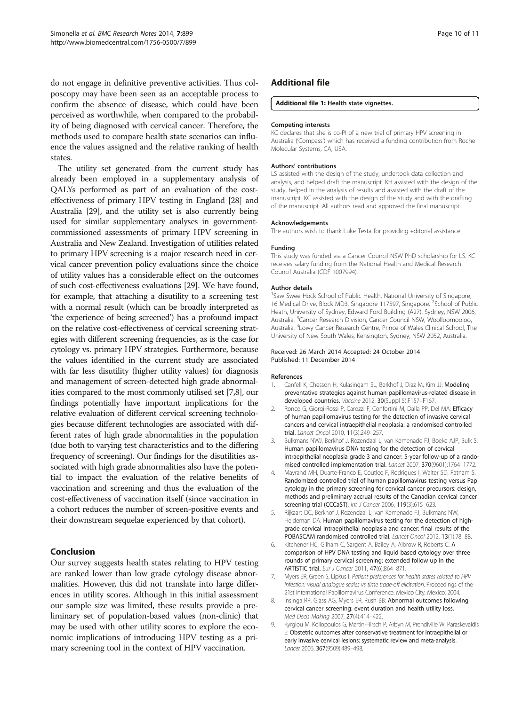<span id="page-9-0"></span>do not engage in definitive preventive activities. Thus colposcopy may have been seen as an acceptable process to confirm the absence of disease, which could have been perceived as worthwhile, when compared to the probability of being diagnosed with cervical cancer. Therefore, the methods used to compare health state scenarios can influence the values assigned and the relative ranking of health states.

The utility set generated from the current study has already been employed in a supplementary analysis of QALYs performed as part of an evaluation of the costeffectiveness of primary HPV testing in England [\[28](#page-10-0)] and Australia [[29](#page-10-0)], and the utility set is also currently being used for similar supplementary analyses in governmentcommissioned assessments of primary HPV screening in Australia and New Zealand. Investigation of utilities related to primary HPV screening is a major research need in cervical cancer prevention policy evaluations since the choice of utility values has a considerable effect on the outcomes of such cost-effectiveness evaluations [[29](#page-10-0)]. We have found, for example, that attaching a disutility to a screening test with a normal result (which can be broadly interpreted as 'the experience of being screened') has a profound impact on the relative cost-effectiveness of cervical screening strategies with different screening frequencies, as is the case for cytology vs. primary HPV strategies. Furthermore, because the values identified in the current study are associated with far less disutility (higher utility values) for diagnosis and management of screen-detected high grade abnormalities compared to the most commonly utilised set [7,8], our findings potentially have important implications for the relative evaluation of different cervical screening technologies because different technologies are associated with different rates of high grade abnormalities in the population (due both to varying test characteristics and to the differing frequency of screening). Our findings for the disutilities associated with high grade abnormalities also have the potential to impact the evaluation of the relative benefits of vaccination and screening and thus the evaluation of the cost-effectiveness of vaccination itself (since vaccination in a cohort reduces the number of screen-positive events and their downstream sequelae experienced by that cohort).

# Conclusion

Our survey suggests health states relating to HPV testing are ranked lower than low grade cytology disease abnormalities. However, this did not translate into large differences in utility scores. Although in this initial assessment our sample size was limited, these results provide a preliminary set of population-based values (non-clinic) that may be used with other utility scores to explore the economic implications of introducing HPV testing as a primary screening tool in the context of HPV vaccination.

# Additional file

#### [Additional file 1:](http://www.biomedcentral.com/content/supplementary/1756-0500-7-899-S1.docx) Health state vignettes.

#### Competing interests

KC declares that she is co-PI of a new trial of primary HPV screening in Australia ('Compass') which has received a funding contribution from Roche Molecular Systems, CA, USA.

#### Authors' contributions

LS assisted with the design of the study, undertook data collection and analysis, and helped draft the manuscript. KH assisted with the design of the study, helped in the analysis of results and assisted with the draft of the manuscript. KC assisted with the design of the study and with the drafting of the manuscript. All authors read and approved the final manuscript.

#### Acknowledgements

The authors wish to thank Luke Testa for providing editorial assistance.

#### Funding

This study was funded via a Cancer Council NSW PhD scholarship for LS. KC receives salary funding from the National Health and Medical Research Council Australia (CDF 1007994).

#### Author details

<sup>1</sup>Saw Swee Hock School of Public Health, National University of Singapore 16 Medical Drive, Block MD3, Singapore 117597, Singapore. <sup>2</sup>School of Public Heath, University of Sydney, Edward Ford Building (A27), Sydney, NSW 2006, Australia. <sup>3</sup> Cancer Research Division, Cancer Council NSW, Woolloomooloo, Australia. <sup>4</sup> Lowy Cancer Research Centre, Prince of Wales Clinical School, The University of New South Wales, Kensington, Sydney, NSW 2052, Australia.

#### Received: 26 March 2014 Accepted: 24 October 2014 Published: 11 December 2014

#### References

- Canfell K, Chesson H, Kulasingam SL, Berkhof J, Diaz M, Kim JJ: Modeling preventative strategies against human papillomavirus-related disease in developed countries. Vaccine 2012, 30(Suppl 5):F157–F167.
- 2. Ronco G, Giorgi-Rossi P, Carozzi F, Confortini M, Dalla PP, Del MA: Efficacy of human papillomavirus testing for the detection of invasive cervical cancers and cervical intraepithelial neoplasia: a randomised controlled trial. Lancet Oncol 2010, 11(3):249–257.
- 3. Bulkmans NWJ, Berkhof J, Rozendaal L, van Kemenade FJ, Boeke AJP, Bulk S: Human papillomavirus DNA testing for the detection of cervical intraepithelial neoplasia grade 3 and cancer: 5-year follow-up of a randomised controlled implementation trial. Lancet 2007, 370(9601):1764–1772.
- 4. Mayrand MH, Duarte-Franco E, Coutlee F, Rodrigues I, Walter SD, Ratnam S: Randomized controlled trial of human papillomavirus testing versus Pap cytology in the primary screening for cervical cancer precursors: design, methods and preliminary accrual results of the Canadian cervical cancer screening trial (CCCaST). Int J Cancer 2006, 119(3):615-623.
- 5. Rijkaart DC, Berkhof J, Rozendaal L, van Kemenade FJ, Bulkmans NW, Heideman DA: Human papillomavirus testing for the detection of highgrade cervical intraepithelial neoplasia and cancer: final results of the POBASCAM randomised controlled trial. Lancet Oncol 2012, 13(1):78–88.
- 6. Kitchener HC, Gilham C, Sargent A, Bailey A, Albrow R, Roberts C: A comparison of HPV DNA testing and liquid based cytology over three rounds of primary cervical screening: extended follow up in the ARTISTIC trial. Eur J Cancer 2011, 47(6):864–871.
- 7. Myers ER, Green S, Lipkus I: Patient preferences for health states related to HPV infection: visual analogue scales vs time trade-off elicitation, Proceedings of the 21st International Papillomavirus Conference. Mexico City, Mexico: 2004.
- 8. Insinga RP, Glass AG, Myers ER, Rush BB: Abnormal outcomes following cervical cancer screening: event duration and health utility loss. Med Decis Making 2007, 27(4):414–422.
- 9. Kyrgiou M, Koliopoulos G, Martin-Hirsch P, Arbyn M, Prendiville W, Paraskevaidis E: Obstetric outcomes after conservative treatment for intraepithelial or early invasive cervical lesions: systematic review and meta-analysis. Lancet 2006, 367(9509):489–498.